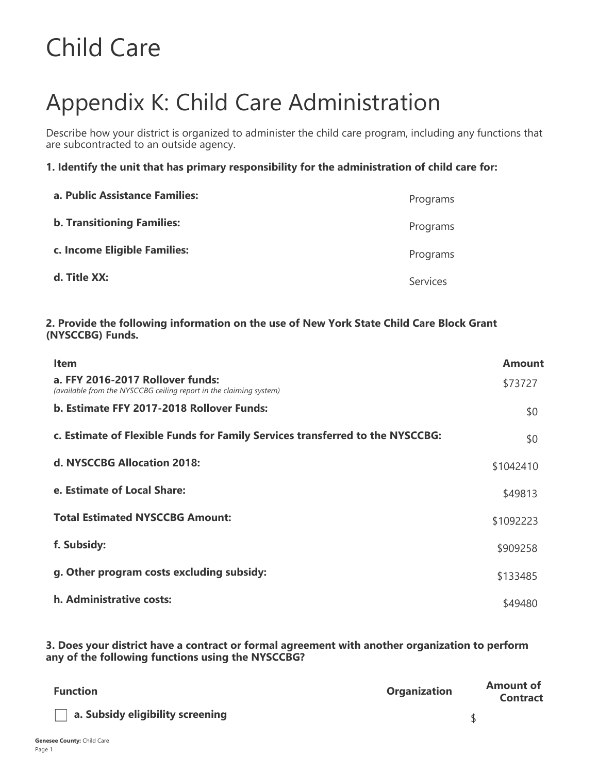# Child Care

# Appendix K: Child Care Administration

Describe how your district is organized to administer the child care program, including any functions that are subcontracted to an outside agency.

**1. Identify the unit that has primary responsibility for the administration of child care for:**

| a. Public Assistance Families:    | Programs        |
|-----------------------------------|-----------------|
| <b>b. Transitioning Families:</b> | Programs        |
| c. Income Eligible Families:      | Programs        |
| d. Title XX:                      | <b>Services</b> |

#### **2. Provide the following information on the use of New York State Child Care Block Grant (NYSCCBG) Funds.**

| <b>Item</b>                                                                                            | Amount    |
|--------------------------------------------------------------------------------------------------------|-----------|
| a. FFY 2016-2017 Rollover funds:<br>(available from the NYSCCBG ceiling report in the claiming system) | \$73727   |
| b. Estimate FFY 2017-2018 Rollover Funds:                                                              | \$0       |
| c. Estimate of Flexible Funds for Family Services transferred to the NYSCCBG:                          | \$0       |
| d. NYSCCBG Allocation 2018:                                                                            | \$1042410 |
| e. Estimate of Local Share:                                                                            | \$49813   |
| <b>Total Estimated NYSCCBG Amount:</b>                                                                 | \$1092223 |
| f. Subsidy:                                                                                            | \$909258  |
| g. Other program costs excluding subsidy:                                                              | \$133485  |
| h. Administrative costs:                                                                               | \$49480   |

**3. Does your district have a contract or formal agreement with another organization to perform any of the following functions using the NYSCCBG?**

| <b>Function</b>                  | <b>Organization</b> | <b>Amount of</b><br><b>Contract</b> |
|----------------------------------|---------------------|-------------------------------------|
| a. Subsidy eligibility screening |                     |                                     |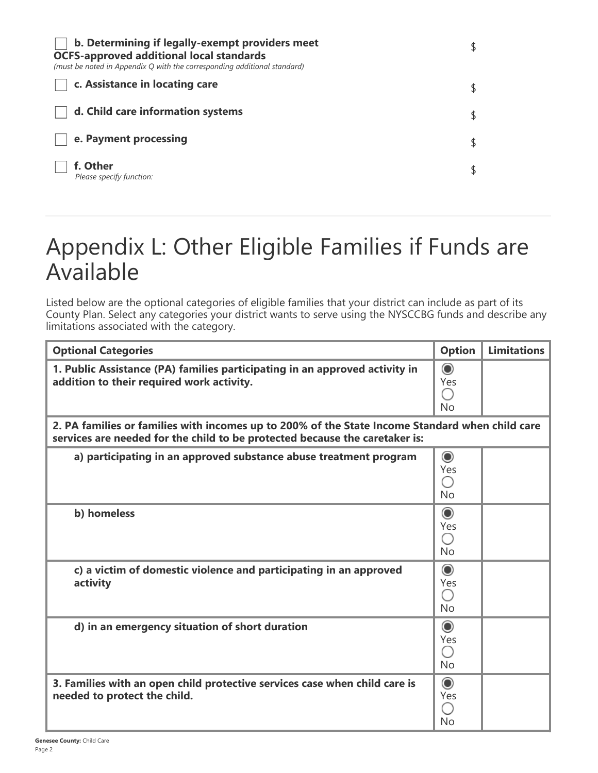| b. Determining if legally-exempt providers meet<br><b>OCFS-approved additional local standards</b><br>(must be noted in Appendix Q with the corresponding additional standard) |  |
|--------------------------------------------------------------------------------------------------------------------------------------------------------------------------------|--|
| c. Assistance in locating care                                                                                                                                                 |  |
| d. Child care information systems                                                                                                                                              |  |
| e. Payment processing                                                                                                                                                          |  |
| f. Other<br>Please specify function:                                                                                                                                           |  |

# Appendix L: Other Eligible Families if Funds are Available

Listed below are the optional categories of eligible families that your district can include as part of its County Plan. Select any categories your district wants to serve using the NYSCCBG funds and describe any limitations associated with the category.

| <b>Optional Categories</b>                                                                                                                                                     | <b>Option</b>                                 | <b>Limitations</b> |
|--------------------------------------------------------------------------------------------------------------------------------------------------------------------------------|-----------------------------------------------|--------------------|
| 1. Public Assistance (PA) families participating in an approved activity in<br>addition to their required work activity.                                                       | $\odot$<br>Yes<br><b>No</b>                   |                    |
| 2. PA families or families with incomes up to 200% of the State Income Standard when child care<br>services are needed for the child to be protected because the caretaker is: |                                               |                    |
| a) participating in an approved substance abuse treatment program                                                                                                              | $\odot$<br>Yes<br><b>No</b>                   |                    |
| b) homeless                                                                                                                                                                    | $\odot$<br>Yes<br><b>No</b>                   |                    |
| c) a victim of domestic violence and participating in an approved<br>activity                                                                                                  | $\circledcirc$<br>Yes<br>$( \ )$<br><b>No</b> |                    |
| d) in an emergency situation of short duration                                                                                                                                 | $\odot$<br>Yes<br><b>No</b>                   |                    |
| 3. Families with an open child protective services case when child care is<br>needed to protect the child.                                                                     | $\odot$<br>Yes<br>No                          |                    |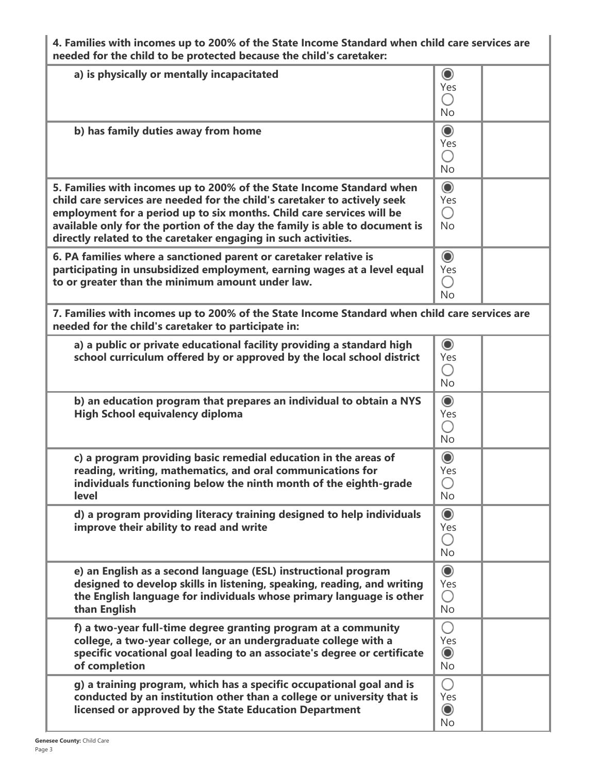**4. Families with incomes up to 200% of the State Income Standard when child care services are needed for the child to be protected because the child's caretaker:**

| a) is physically or mentally incapacitated                                                                                                           | $\odot$<br>Yes                                           |  |
|------------------------------------------------------------------------------------------------------------------------------------------------------|----------------------------------------------------------|--|
|                                                                                                                                                      | $\left(\begin{array}{c} \end{array}\right)$<br><b>No</b> |  |
| b) has family duties away from home                                                                                                                  | $\circledcirc$                                           |  |
|                                                                                                                                                      | Yes<br>∩                                                 |  |
|                                                                                                                                                      | <b>No</b>                                                |  |
| 5. Families with incomes up to 200% of the State Income Standard when<br>child care services are needed for the child's caretaker to actively seek   | $\odot$<br>Yes                                           |  |
| employment for a period up to six months. Child care services will be<br>available only for the portion of the day the family is able to document is | ∩<br><b>No</b>                                           |  |
| directly related to the caretaker engaging in such activities.<br>6. PA families where a sanctioned parent or caretaker relative is                  | $\odot$                                                  |  |
| participating in unsubsidized employment, earning wages at a level equal                                                                             | Yes                                                      |  |
| to or greater than the minimum amount under law.                                                                                                     | ∩<br><b>No</b>                                           |  |
| 7. Families with incomes up to 200% of the State Income Standard when child care services are<br>needed for the child's caretaker to participate in: |                                                          |  |
| a) a public or private educational facility providing a standard high<br>school curriculum offered by or approved by the local school district       | $\circledcirc$<br>Yes                                    |  |
|                                                                                                                                                      | ∩<br><b>No</b>                                           |  |
| b) an education program that prepares an individual to obtain a NYS                                                                                  | $\circledcirc$                                           |  |
| <b>High School equivalency diploma</b>                                                                                                               | Yes<br>$(\ )$                                            |  |
|                                                                                                                                                      | <b>No</b>                                                |  |
| c) a program providing basic remedial education in the areas of<br>reading, writing, mathematics, and oral communications for                        | $\odot$<br>Yes                                           |  |
| individuals functioning below the ninth month of the eighth-grade<br>level                                                                           | No                                                       |  |
| d) a program providing literacy training designed to help individuals                                                                                | $\odot$                                                  |  |
| improve their ability to read and write                                                                                                              | Yes<br>$\bigcirc$                                        |  |
| e) an English as a second language (ESL) instructional program                                                                                       | <b>No</b><br>$\odot$                                     |  |
| designed to develop skills in listening, speaking, reading, and writing                                                                              | Yes                                                      |  |
| the English language for individuals whose primary language is other<br>than English                                                                 | $\bigcirc$<br><b>No</b>                                  |  |
| f) a two-year full-time degree granting program at a community<br>college, a two-year college, or an undergraduate college with a                    | $\bigcirc$<br>Yes                                        |  |
| specific vocational goal leading to an associate's degree or certificate<br>of completion                                                            | $\circledcirc$<br>No                                     |  |
| g) a training program, which has a specific occupational goal and is<br>conducted by an institution other than a college or university that is       | O<br>Yes                                                 |  |
| licensed or approved by the State Education Department                                                                                               | $\bf{O}$                                                 |  |
|                                                                                                                                                      | No                                                       |  |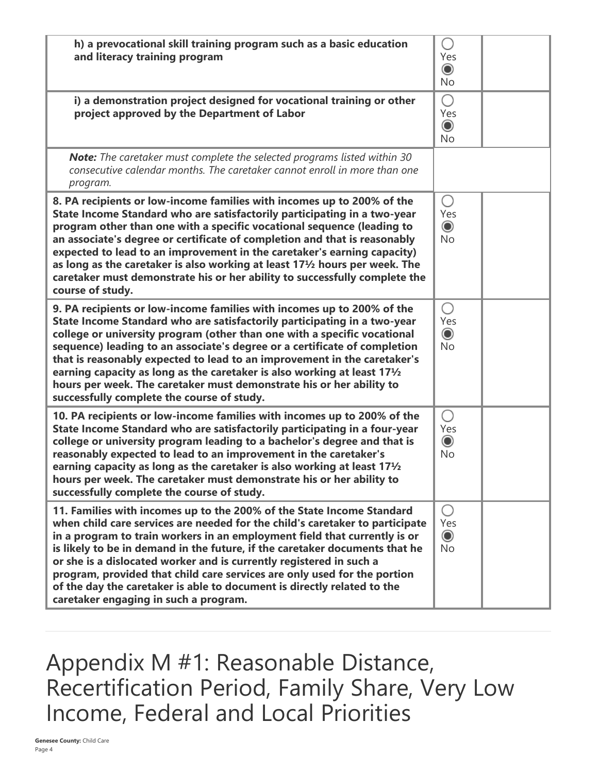| h) a prevocational skill training program such as a basic education<br>and literacy training program                                                                                                                                                                                                                                                                                                                                                                                                                                                                                      | $\left(\ \right)$<br>Yes<br>$\odot$<br><b>No</b> |  |
|-------------------------------------------------------------------------------------------------------------------------------------------------------------------------------------------------------------------------------------------------------------------------------------------------------------------------------------------------------------------------------------------------------------------------------------------------------------------------------------------------------------------------------------------------------------------------------------------|--------------------------------------------------|--|
| i) a demonstration project designed for vocational training or other<br>project approved by the Department of Labor                                                                                                                                                                                                                                                                                                                                                                                                                                                                       | O<br>Yes<br>$\circledcirc$<br><b>No</b>          |  |
| <b>Note:</b> The caretaker must complete the selected programs listed within 30<br>consecutive calendar months. The caretaker cannot enroll in more than one<br>program.                                                                                                                                                                                                                                                                                                                                                                                                                  |                                                  |  |
| 8. PA recipients or low-income families with incomes up to 200% of the<br>State Income Standard who are satisfactorily participating in a two-year<br>program other than one with a specific vocational sequence (leading to<br>an associate's degree or certificate of completion and that is reasonably<br>expected to lead to an improvement in the caretaker's earning capacity)<br>as long as the caretaker is also working at least $17\frac{1}{2}$ hours per week. The<br>caretaker must demonstrate his or her ability to successfully complete the<br>course of study.           | Ο<br>Yes<br>$\odot$<br><b>No</b>                 |  |
| 9. PA recipients or low-income families with incomes up to 200% of the<br>State Income Standard who are satisfactorily participating in a two-year<br>college or university program (other than one with a specific vocational<br>sequence) leading to an associate's degree or a certificate of completion<br>that is reasonably expected to lead to an improvement in the caretaker's<br>earning capacity as long as the caretaker is also working at least 171/2<br>hours per week. The caretaker must demonstrate his or her ability to<br>successfully complete the course of study. | О<br>Yes<br>$\odot$<br><b>No</b>                 |  |
| 10. PA recipients or low-income families with incomes up to 200% of the<br>State Income Standard who are satisfactorily participating in a four-year<br>college or university program leading to a bachelor's degree and that is<br>reasonably expected to lead to an improvement in the caretaker's<br>earning capacity as long as the caretaker is also working at least 17 <sup>1</sup> / <sub>2</sub><br>hours per week. The caretaker must demonstrate his or her ability to<br>successfully complete the course of study.                                                           | О<br>Yes<br>$\circledcirc$<br>No                 |  |
| 11. Families with incomes up to the 200% of the State Income Standard<br>when child care services are needed for the child's caretaker to participate<br>in a program to train workers in an employment field that currently is or<br>is likely to be in demand in the future, if the caretaker documents that he<br>or she is a dislocated worker and is currently registered in such a<br>program, provided that child care services are only used for the portion<br>of the day the caretaker is able to document is directly related to the<br>caretaker engaging in such a program.  | $\bigcirc$<br>Yes<br>$\odot$<br><b>No</b>        |  |

Appendix M #1: Reasonable Distance, Recertification Period, Family Share, Very Low Income, Federal and Local Priorities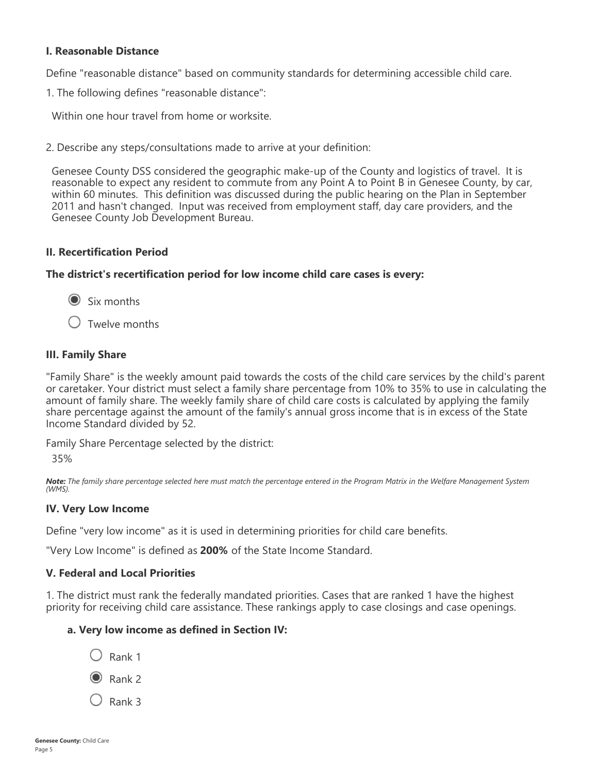## **I. Reasonable Distance**

Define "reasonable distance" based on community standards for determining accessible child care.

1. The following defines "reasonable distance":

Within one hour travel from home or worksite.

2. Describe any steps/consultations made to arrive at your definition:

Genesee County DSS considered the geographic make-up of the County and logistics of travel. It is reasonable to expect any resident to commute from any Point A to Point B in Genesee County, by car, within 60 minutes. This definition was discussed during the public hearing on the Plan in September 2011 and hasn't changed. Input was received from employment staff, day care providers, and the Genesee County Job Development Bureau.

#### **II. Recertification Period**

**The district's recertification period for low income child care cases is every:**

Six months

 $\bigcirc$  Twelve months

#### **III. Family Share**

"Family Share" is the weekly amount paid towards the costs of the child care services by the child's parent or caretaker. Your district must select a family share percentage from 10% to 35% to use in calculating the amount of family share. The weekly family share of child care costs is calculated by applying the family share percentage against the amount of the family's annual gross income that is in excess of the State Income Standard divided by 52.

Family Share Percentage selected by the district:

35%

*Note: The family share percentage selected here must match the percentage entered in the Program Matrix in the Welfare Management System (WMS).*

#### **IV. Very Low Income**

Define "very low income" as it is used in determining priorities for child care benefits.

"Very Low Income" is defined as **200%** of the State Income Standard.

#### **V. Federal and Local Priorities**

1. The district must rank the federally mandated priorities. Cases that are ranked 1 have the highest priority for receiving child care assistance. These rankings apply to case closings and case openings.

#### **a. Very low income as defined in Section IV:**

- $\bigcirc$  Rank 1
- $\odot$  Rank 2
- $\bigcirc$  Rank 3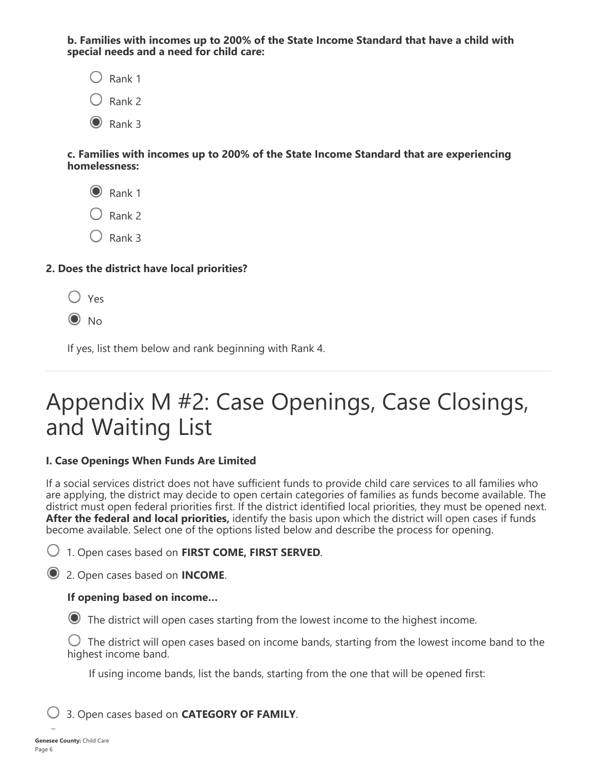**b. Families with incomes up to 200% of the State Income Standard that have a child with special needs and a need for child care:**

 $\bigcirc$  Rank 1  $\bigcirc$  Rank 2  $\odot$  Rank 3

**c. Families with incomes up to 200% of the State Income Standard that are experiencing homelessness:**

 $\odot$  Rank 1  $\bigcirc$  Rank 2

 $\bigcirc$  Rank 3

## **2. Does the district have local priorities?**

 $\bigcap$  Yes

 $\odot$  No

If yes, list them below and rank beginning with Rank 4.

# Appendix M #2: Case Openings, Case Closings, and Waiting List

## **I. Case Openings When Funds Are Limited**

If a social services district does not have sufficient funds to provide child care services to all families who are applying, the district may decide to open certain categories of families as funds become available. The district must open federal priorities first. If the district identified local priorities, they must be opened next. **After the federal and local priorities,** identify the basis upon which the district will open cases if funds become available. Select one of the options listed below and describe the process for opening.

1. Open cases based on **FIRST COME, FIRST SERVED**.

2. Open cases based on **INCOME**.

## **If opening based on income…**

The district will open cases starting from the lowest income to the highest income.

 $\bigcirc$  The district will open cases based on income bands, starting from the lowest income band to the highest income band.

If using income bands, list the bands, starting from the one that will be opened first:

3. Open cases based on **CATEGORY OF FAMILY**.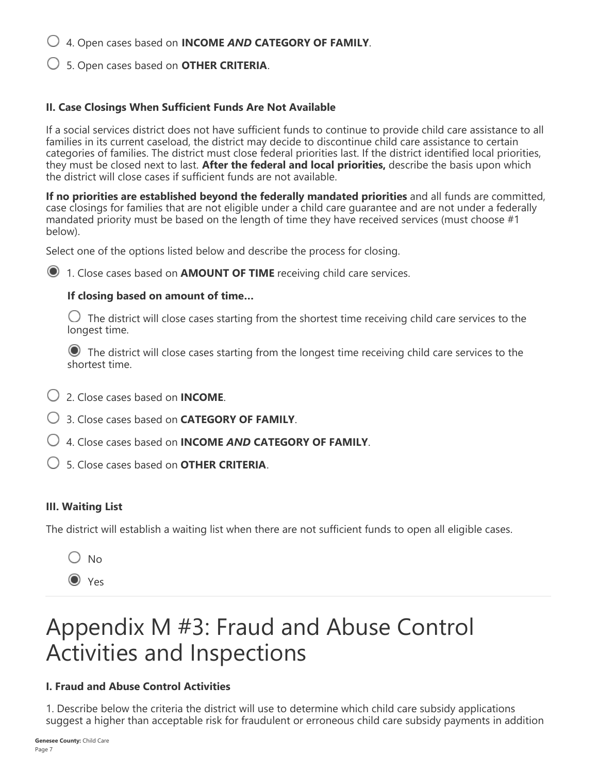4. Open cases based on **INCOME** *AND* **CATEGORY OF FAMILY**.

5. Open cases based on **OTHER CRITERIA**.

## **II. Case Closings When Sufficient Funds Are Not Available**

If a social services district does not have sufficient funds to continue to provide child care assistance to all families in its current caseload, the district may decide to discontinue child care assistance to certain categories of families. The district must close federal priorities last. If the district identified local priorities, they must be closed next to last. **After the federal and local priorities,** describe the basis upon which the district will close cases if sufficient funds are not available.

**If no priorities are established beyond the federally mandated priorities** and all funds are committed, case closings for families that are not eligible under a child care guarantee and are not under a federally mandated priority must be based on the length of time they have received services (must choose #1 below).

Select one of the options listed below and describe the process for closing.

1. Close cases based on **AMOUNT OF TIME** receiving child care services.

## **If closing based on amount of time…**

 $\bigcirc$  The district will close cases starting from the shortest time receiving child care services to the longest time.

 The district will close cases starting from the longest time receiving child care services to the shortest time.

- 2. Close cases based on **INCOME**.
- 3. Close cases based on **CATEGORY OF FAMILY**.
- 4. Close cases based on **INCOME** *AND* **CATEGORY OF FAMILY**.
- 5. Close cases based on **OTHER CRITERIA**.

## **III. Waiting List**

The district will establish a waiting list when there are not sufficient funds to open all eligible cases.

 $\bigcirc$  No

O Yes

# Appendix M #3: Fraud and Abuse Control Activities and Inspections

## **I. Fraud and Abuse Control Activities**

1. Describe below the criteria the district will use to determine which child care subsidy applications suggest a higher than acceptable risk for fraudulent or erroneous child care subsidy payments in addition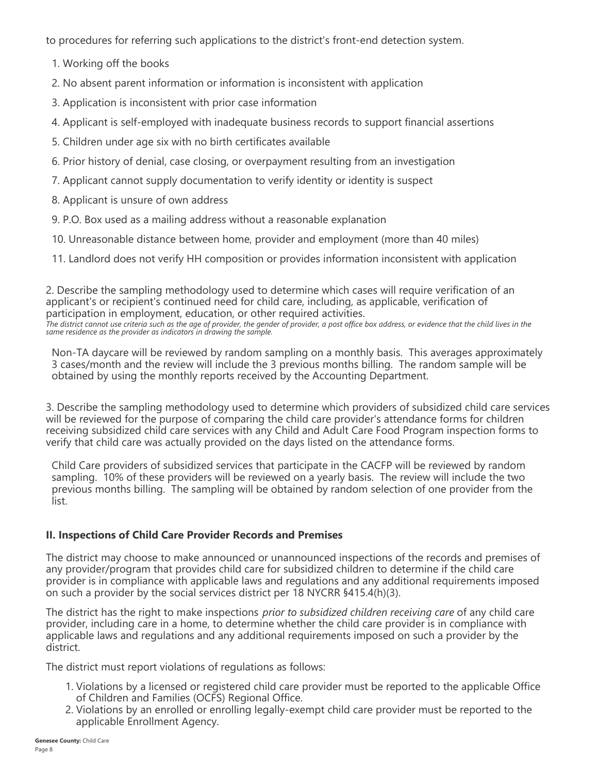to procedures for referring such applications to the district's front-end detection system.

- 1. Working off the books
- 2. No absent parent information or information is inconsistent with application
- 3. Application is inconsistent with prior case information
- 4. Applicant is self-employed with inadequate business records to support financial assertions
- 5. Children under age six with no birth certificates available
- 6. Prior history of denial, case closing, or overpayment resulting from an investigation
- 7. Applicant cannot supply documentation to verify identity or identity is suspect
- 8. Applicant is unsure of own address
- 9. P.O. Box used as a mailing address without a reasonable explanation
- 10. Unreasonable distance between home, provider and employment (more than 40 miles)
- 11. Landlord does not verify HH composition or provides information inconsistent with application

2. Describe the sampling methodology used to determine which cases will require verification of an applicant's or recipient's continued need for child care, including, as applicable, verification of participation in employment, education, or other required activities. *The district cannot use criteria such as the age of provider, the gender of provider, a post office box address, or evidence that the child lives in the same residence as the provider as indicators in drawing the sample.*

Non-TA daycare will be reviewed by random sampling on a monthly basis. This averages approximately 3 cases/month and the review will include the 3 previous months billing. The random sample will be obtained by using the monthly reports received by the Accounting Department.

3. Describe the sampling methodology used to determine which providers of subsidized child care services will be reviewed for the purpose of comparing the child care provider's attendance forms for children receiving subsidized child care services with any Child and Adult Care Food Program inspection forms to verify that child care was actually provided on the days listed on the attendance forms.

Child Care providers of subsidized services that participate in the CACFP will be reviewed by random sampling. 10% of these providers will be reviewed on a yearly basis. The review will include the two previous months billing. The sampling will be obtained by random selection of one provider from the list.

## **II. Inspections of Child Care Provider Records and Premises**

The district may choose to make announced or unannounced inspections of the records and premises of any provider/program that provides child care for subsidized children to determine if the child care provider is in compliance with applicable laws and regulations and any additional requirements imposed on such a provider by the social services district per 18 NYCRR §415.4(h)(3).

The district has the right to make inspections *prior to subsidized children receiving care* of any child care provider, including care in a home, to determine whether the child care provider is in compliance with applicable laws and regulations and any additional requirements imposed on such a provider by the district.

The district must report violations of regulations as follows:

- 1. Violations by a licensed or registered child care provider must be reported to the applicable Office of Children and Families (OCFS) Regional Office.
- 2. Violations by an enrolled or enrolling legally-exempt child care provider must be reported to the applicable Enrollment Agency.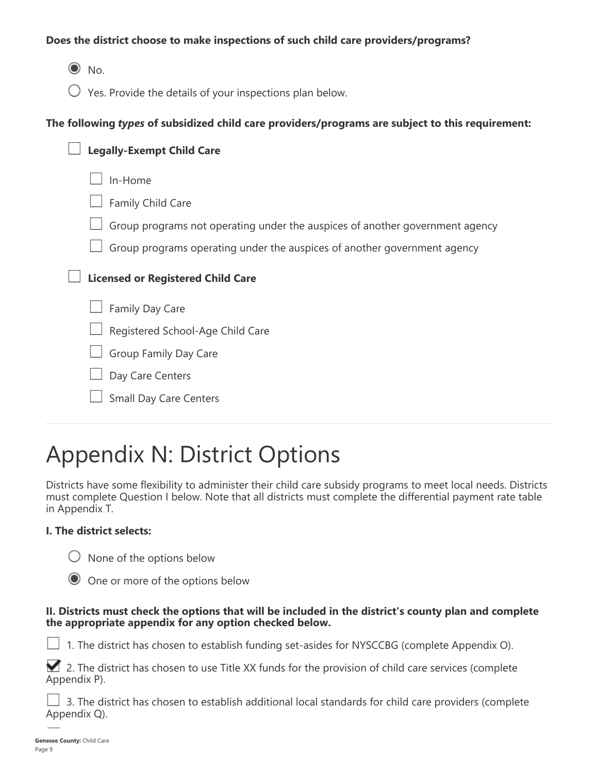## **Does the district choose to make inspections of such child care providers/programs?**

 $\odot$  No.

 $\bigcirc$  Yes. Provide the details of your inspections plan below.

### **The following** *types* **of subsidized child care providers/programs are subject to this requirement:**

| <b>Legally-Exempt Child Care</b>                                             |
|------------------------------------------------------------------------------|
| In-Home                                                                      |
| Family Child Care                                                            |
| Group programs not operating under the auspices of another government agency |
| Group programs operating under the auspices of another government agency     |
| <b>Licensed or Registered Child Care</b>                                     |
| Family Day Care                                                              |
| Registered School-Age Child Care                                             |
| Group Family Day Care                                                        |
| Day Care Centers                                                             |
| <b>Small Day Care Centers</b>                                                |

# Appendix N: District Options

Districts have some flexibility to administer their child care subsidy programs to meet local needs. Districts must complete Question I below. Note that all districts must complete the differential payment rate table in Appendix T.

## **I. The district selects:**

 $\bigcirc$  None of the options below

| O One or more of the options below |  |  |  |  |  |  |  |
|------------------------------------|--|--|--|--|--|--|--|
|------------------------------------|--|--|--|--|--|--|--|

#### **II. Districts must check the options that will be included in the district's county plan and complete the appropriate appendix for any option checked below.**

1. The district has chosen to establish funding set-asides for NYSCCBG (complete Appendix O).

 $\blacktriangleright$  2. The district has chosen to use Title XX funds for the provision of child care services (complete Appendix P).

 3. The district has chosen to establish additional local standards for child care providers (complete Appendix Q).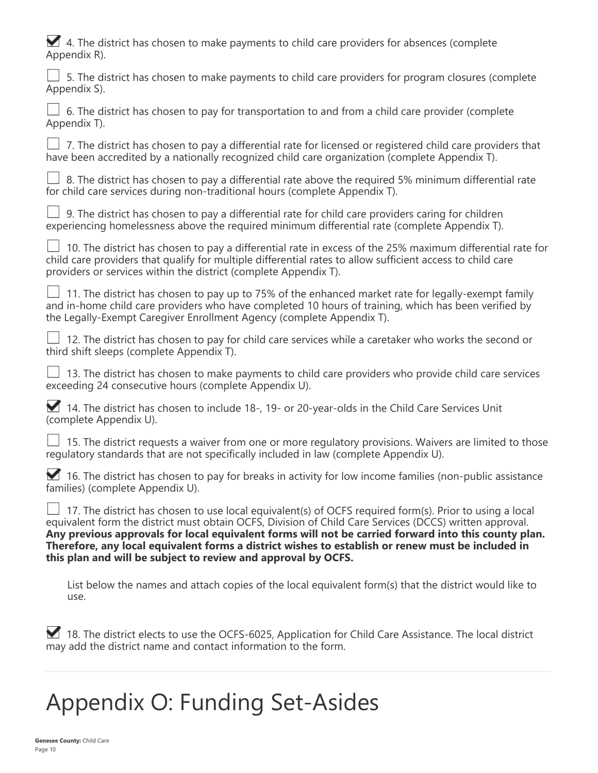|  |              |  |  |  |  | 4. The district has chosen to make payments to child care providers for absences (complete |
|--|--------------|--|--|--|--|--------------------------------------------------------------------------------------------|
|  | Appendix R). |  |  |  |  |                                                                                            |

| 5. The district has chosen to make payments to child care providers for program closures (complete<br>Appendix S).                                                                                                                                                                                                                                                                                                                                                                                       |
|----------------------------------------------------------------------------------------------------------------------------------------------------------------------------------------------------------------------------------------------------------------------------------------------------------------------------------------------------------------------------------------------------------------------------------------------------------------------------------------------------------|
| 6. The district has chosen to pay for transportation to and from a child care provider (complete<br>Appendix T).                                                                                                                                                                                                                                                                                                                                                                                         |
| 7. The district has chosen to pay a differential rate for licensed or registered child care providers that<br>have been accredited by a nationally recognized child care organization (complete Appendix T).                                                                                                                                                                                                                                                                                             |
| 8. The district has chosen to pay a differential rate above the required 5% minimum differential rate<br>for child care services during non-traditional hours (complete Appendix T).                                                                                                                                                                                                                                                                                                                     |
| 9. The district has chosen to pay a differential rate for child care providers caring for children<br>experiencing homelessness above the required minimum differential rate (complete Appendix T).                                                                                                                                                                                                                                                                                                      |
| 10. The district has chosen to pay a differential rate in excess of the 25% maximum differential rate for<br>child care providers that qualify for multiple differential rates to allow sufficient access to child care<br>providers or services within the district (complete Appendix T).                                                                                                                                                                                                              |
| 11. The district has chosen to pay up to 75% of the enhanced market rate for legally-exempt family<br>and in-home child care providers who have completed 10 hours of training, which has been verified by<br>the Legally-Exempt Caregiver Enrollment Agency (complete Appendix T).                                                                                                                                                                                                                      |
| 12. The district has chosen to pay for child care services while a caretaker who works the second or<br>third shift sleeps (complete Appendix T).                                                                                                                                                                                                                                                                                                                                                        |
| 13. The district has chosen to make payments to child care providers who provide child care services<br>exceeding 24 consecutive hours (complete Appendix U).                                                                                                                                                                                                                                                                                                                                            |
| 14. The district has chosen to include 18-, 19- or 20-year-olds in the Child Care Services Unit<br>(complete Appendix U).                                                                                                                                                                                                                                                                                                                                                                                |
| 15. The district requests a waiver from one or more regulatory provisions. Waivers are limited to those<br>requlatory standards that are not specifically included in law (complete Appendix U).                                                                                                                                                                                                                                                                                                         |
| 16. The district has chosen to pay for breaks in activity for low income families (non-public assistance<br>families) (complete Appendix U).                                                                                                                                                                                                                                                                                                                                                             |
| $\perp$ 17. The district has chosen to use local equivalent(s) of OCFS required form(s). Prior to using a local<br>equivalent form the district must obtain OCFS, Division of Child Care Services (DCCS) written approval.<br>Any previous approvals for local equivalent forms will not be carried forward into this county plan.<br>Therefore, any local equivalent forms a district wishes to establish or renew must be included in<br>this plan and will be subject to review and approval by OCFS. |
| List below the names and attach copies of the local equivalent form(s) that the district would like to<br>use.                                                                                                                                                                                                                                                                                                                                                                                           |
|                                                                                                                                                                                                                                                                                                                                                                                                                                                                                                          |

18. The district elects to use the OCFS-6025, Application for Child Care Assistance. The local district may add the district name and contact information to the form.

# Appendix O: Funding Set-Asides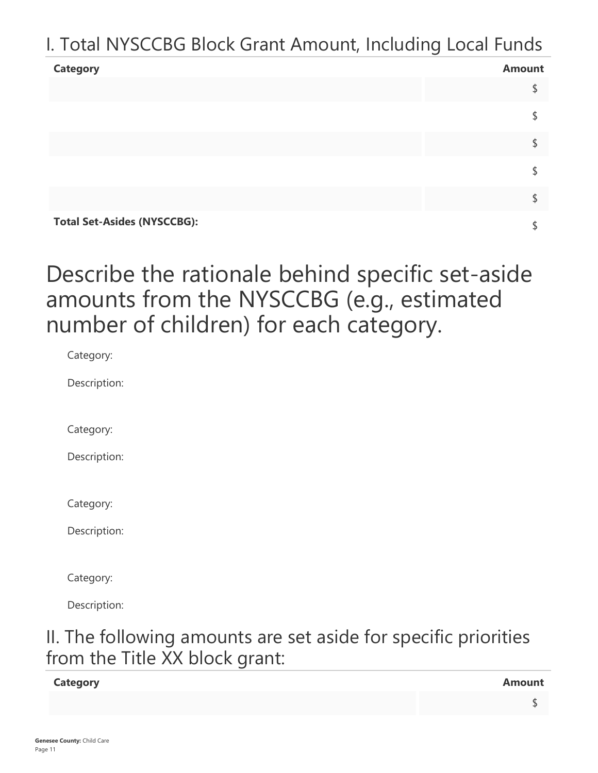## I. Total NYSCCBG Block Grant Amount, Including Local Funds

| <b>Category</b>                    | <b>Amount</b> |
|------------------------------------|---------------|
|                                    |               |
|                                    |               |
|                                    |               |
|                                    |               |
|                                    |               |
| <b>Total Set-Asides (NYSCCBG):</b> |               |

Describe the rationale behind specific set-aside amounts from the NYSCCBG (e.g., estimated number of children) for each category.

Category:

Description:

Category:

Description:

Category:

Description:

Category:

Description:

## II. The following amounts are set aside for specific priorities from the Title XX block grant:

## **Category Amount**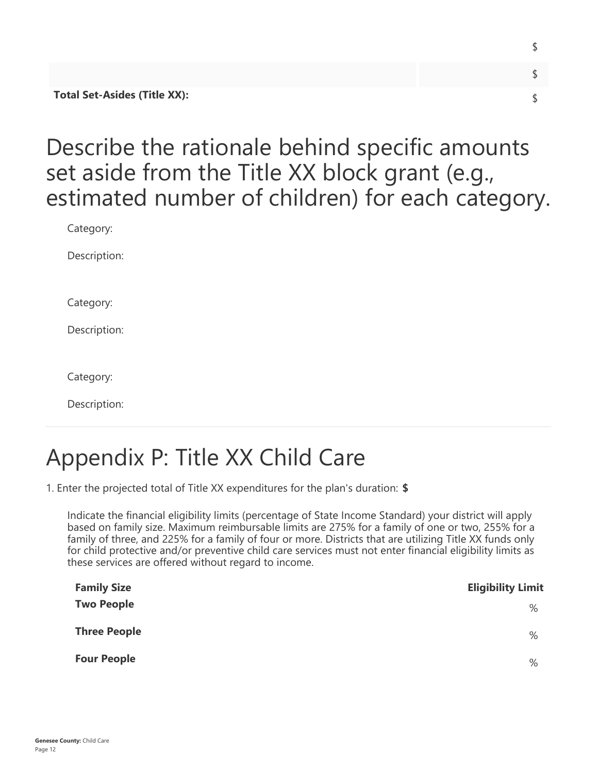| <b>Total Set-Asides (Title XX):</b> |  |
|-------------------------------------|--|

\$

## Describe the rationale behind specific amounts set aside from the Title XX block grant (e.g., estimated number of children) for each category.

Category:

Description:

Category:

Description:

Category:

Description:

# Appendix P: Title XX Child Care

1. Enter the projected total of Title XX expenditures for the plan's duration: **\$**

Indicate the financial eligibility limits (percentage of State Income Standard) your district will apply based on family size. Maximum reimbursable limits are 275% for a family of one or two, 255% for a family of three, and 225% for a family of four or more. Districts that are utilizing Title XX funds only for child protective and/or preventive child care services must not enter financial eligibility limits as these services are offered without regard to income.

| <b>Family Size</b>  | <b>Eligibility Limit</b> |
|---------------------|--------------------------|
| <b>Two People</b>   | %                        |
| <b>Three People</b> | %                        |
| <b>Four People</b>  | %                        |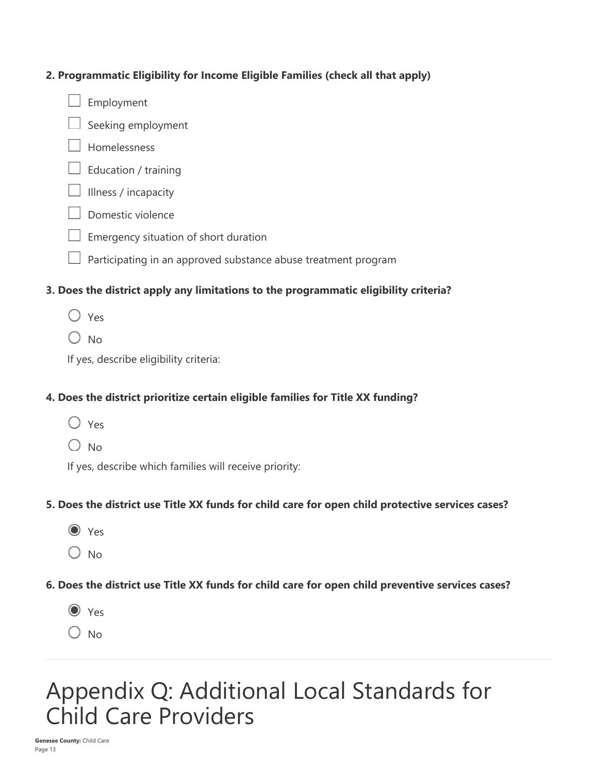## **2. Programmatic Eligibility for Income Eligible Families (check all that apply)**

 $\Box$  Employment



- Homelessness
- $\Box$  Education / training
- $\Box$  Illness / incapacity
- $\Box$  Domestic violence
- $\Box$  Emergency situation of short duration
- $\Box$  Participating in an approved substance abuse treatment program

## **3. Does the district apply any limitations to the programmatic eligibility criteria?**

- $\bigcirc$  Yes
- $\bigcirc$  No.

If yes, describe eligibility criteria:

## **4. Does the district prioritize certain eligible families for Title XX funding?**

- $\bigcap$  Yes
- $\bigcirc$  No

If yes, describe which families will receive priority:

## **5. Does the district use Title XX funds for child care for open child protective services cases?**

- $\odot$  Yes
- $\bigcirc$  No

## **6. Does the district use Title XX funds for child care for open child preventive services cases?**

- $\odot$  Yes
- $O$  No

## Appendix Q: Additional Local Standards for Child Care Providers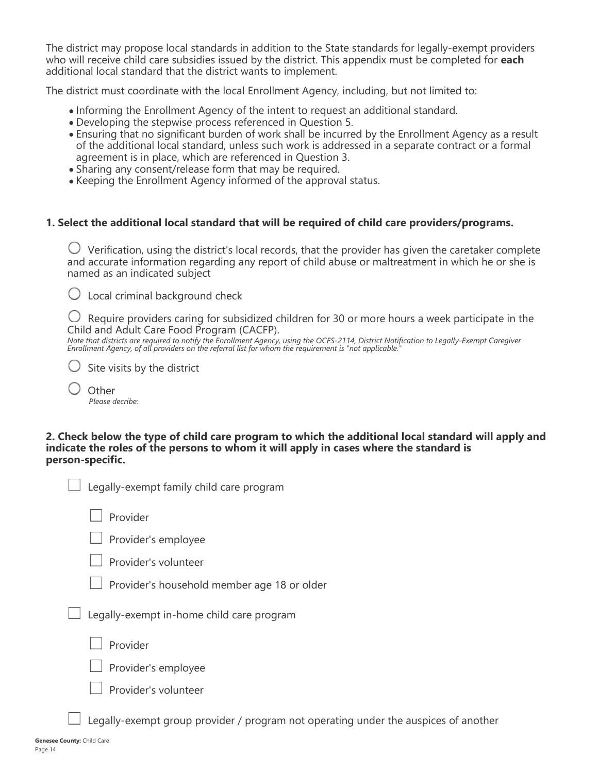The district may propose local standards in addition to the State standards for legally-exempt providers who will receive child care subsidies issued by the district. This appendix must be completed for **each** additional local standard that the district wants to implement.

The district must coordinate with the local Enrollment Agency, including, but not limited to:

- Informing the Enrollment Agency of the intent to request an additional standard.
- Developing the stepwise process referenced in Question 5.
- Ensuring that no significant burden of work shall be incurred by the Enrollment Agency as a result of the additional local standard, unless such work is addressed in a separate contract or a formal agreement is in place, which are referenced in Question 3.
- Sharing any consent/release form that may be required.
- Keeping the Enrollment Agency informed of the approval status.

#### **1. Select the additional local standard that will be required of child care providers/programs.**

 $\bigcirc$  Verification, using the district's local records, that the provider has given the caretaker complete and accurate information regarding any report of child abuse or maltreatment in which he or she is named as an indicated subject

 $\bigcirc$  Local criminal background check

 $\bigcup$  Require providers caring for subsidized children for 30 or more hours a week participate in the Child and Adult Care Food Program (CACFP).

*Note that districts are required to notify the Enrollment Agency, using the OCFS-2114, District Notification to Legally-Exempt Caregiver Enrollment Agency, of all providers on the referral list for whom the requirement is "not applicable."*

- $\bigcup$  Site visits by the district
	- **Other** *Please decribe:*

**2. Check below the type of child care program to which the additional local standard will apply and indicate the roles of the persons to whom it will apply in cases where the standard is person-specific.**

| Legally-exempt family child care program    |
|---------------------------------------------|
| Provider                                    |
| $\Box$ Provider's employee                  |
| Provider's volunteer                        |
| Provider's household member age 18 or older |
| Legally-exempt in-home child care program   |
| Provider                                    |
| Provider's employee                         |

 $\Box$  Provider's volunteer

Legally-exempt group provider / program not operating under the auspices of another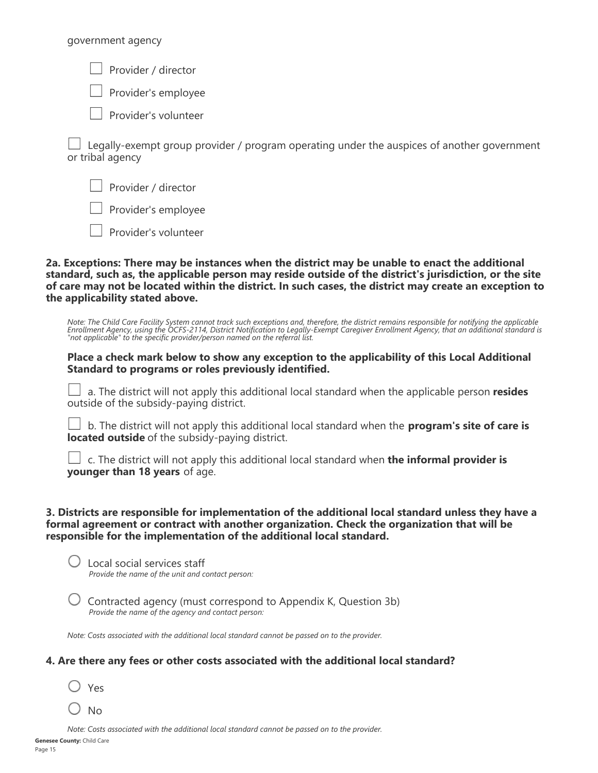government agency

Provider / director

Provider's employee

 $\Box$  Provider's volunteer

 Legally-exempt group provider / program operating under the auspices of another government or tribal agency

Provider / director

Provider's employee

Provider's volunteer

**2a. Exceptions: There may be instances when the district may be unable to enact the additional standard, such as, the applicable person may reside outside of the district's jurisdiction, or the site of care may not be located within the district. In such cases, the district may create an exception to the applicability stated above.**

*Note: The Child Care Facility System cannot track such exceptions and, therefore, the district remains responsible for notifying the applicable Enrollment Agency, using the OCFS-2114, District Notification to Legally-Exempt Caregiver Enrollment Agency, that an additional standard is "not applicable" to the specific provider/person named on the referral list.*

#### **Place a check mark below to show any exception to the applicability of this Local Additional Standard to programs or roles previously identified.**

 a. The district will not apply this additional local standard when the applicable person **resides** outside of the subsidy-paying district.

 b. The district will not apply this additional local standard when the **program's site of care is located outside** of the subsidy-paying district.

| $\Box$ c. The district will not apply this additional local standard when <b>the informal provider is</b> |  |  |  |  |
|-----------------------------------------------------------------------------------------------------------|--|--|--|--|
| younger than 18 years of age.                                                                             |  |  |  |  |

#### **3. Districts are responsible for implementation of the additional local standard unless they have a formal agreement or contract with another organization. Check the organization that will be responsible for the implementation of the additional local standard.**

 Local social services staff *Provide the name of the unit and contact person:*

 Contracted agency (must correspond to Appendix K, Question 3b) *Provide the name of the agency and contact person:*

*Note: Costs associated with the additional local standard cannot be passed on to the provider.*

#### **4. Are there any fees or other costs associated with the additional local standard?**

Yes

 $\bigcirc$  No

*Note: Costs associated with the additional local standard cannot be passed on to the provider.*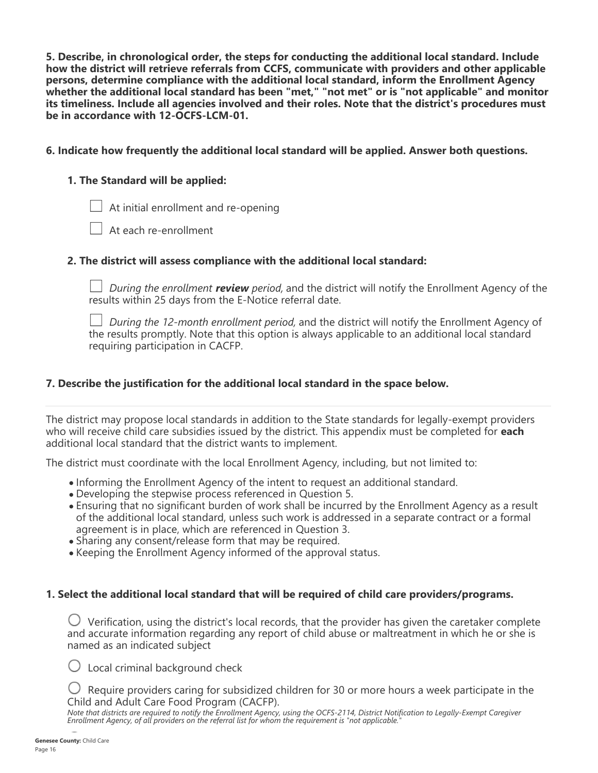**5. Describe, in chronological order, the steps for conducting the additional local standard. Include how the district will retrieve referrals from CCFS, communicate with providers and other applicable persons, determine compliance with the additional local standard, inform the Enrollment Agency whether the additional local standard has been "met," "not met" or is "not applicable" and monitor its timeliness. Include all agencies involved and their roles. Note that the district's procedures must be in accordance with 12-OCFS-LCM-01.**

#### **6. Indicate how frequently the additional local standard will be applied. Answer both questions.**

## **1. The Standard will be applied:**

 $\Box$  At initial enrollment and re-opening

At each re-enrollment

### **2. The district will assess compliance with the additional local standard:**

*During the enrollment review period,* and the district will notify the Enrollment Agency of the results within 25 days from the E-Notice referral date.

*During the 12-month enrollment period,* and the district will notify the Enrollment Agency of the results promptly. Note that this option is always applicable to an additional local standard requiring participation in CACFP.

### **7. Describe the justification for the additional local standard in the space below.**

The district may propose local standards in addition to the State standards for legally-exempt providers who will receive child care subsidies issued by the district. This appendix must be completed for **each** additional local standard that the district wants to implement.

The district must coordinate with the local Enrollment Agency, including, but not limited to:

- Informing the Enrollment Agency of the intent to request an additional standard.
- Developing the stepwise process referenced in Question 5.
- Ensuring that no significant burden of work shall be incurred by the Enrollment Agency as a result of the additional local standard, unless such work is addressed in a separate contract or a formal agreement is in place, which are referenced in Question 3.
- Sharing any consent/release form that may be required.
- Keeping the Enrollment Agency informed of the approval status.

#### **1. Select the additional local standard that will be required of child care providers/programs.**

 $\bigcirc$  Verification, using the district's local records, that the provider has given the caretaker complete and accurate information regarding any report of child abuse or maltreatment in which he or she is named as an indicated subject

 $\bigcirc$  Local criminal background check

 $\bigcirc$  Require providers caring for subsidized children for 30 or more hours a week participate in the Child and Adult Care Food Program (CACFP).

*Note that districts are required to notify the Enrollment Agency, using the OCFS-2114, District Notification to Legally-Exempt Caregiver Enrollment Agency, of all providers on the referral list for whom the requirement is "not applicable."*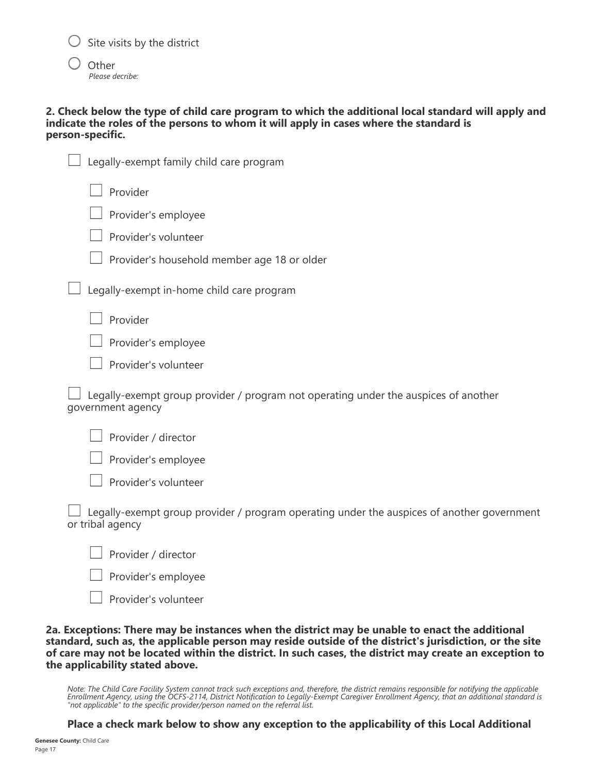$\bigcirc$  Site visits by the district

**Other** *Please decribe:*

#### **2. Check below the type of child care program to which the additional local standard will apply and indicate the roles of the persons to whom it will apply in cases where the standard is person-specific.**

| Legally-exempt family child care program                                                                       |
|----------------------------------------------------------------------------------------------------------------|
| Provider                                                                                                       |
| Provider's employee                                                                                            |
| Provider's volunteer                                                                                           |
| Provider's household member age 18 or older                                                                    |
| Legally-exempt in-home child care program                                                                      |
| Provider                                                                                                       |
| Provider's employee                                                                                            |
| Provider's volunteer                                                                                           |
| Legally-exempt group provider / program not operating under the auspices of another<br>government agency       |
| Provider / director                                                                                            |
| Provider's employee                                                                                            |
| Provider's volunteer                                                                                           |
| Legally-exempt group provider / program operating under the auspices of another government<br>or tribal agency |
| Provider / director                                                                                            |
| Provider's employee                                                                                            |

Provider's volunteer

**2a. Exceptions: There may be instances when the district may be unable to enact the additional standard, such as, the applicable person may reside outside of the district's jurisdiction, or the site of care may not be located within the district. In such cases, the district may create an exception to the applicability stated above.**

*Note: The Child Care Facility System cannot track such exceptions and, therefore, the district remains responsible for notifying the applicable Enrollment Agency, using the OCFS-2114, District Notification to Legally-Exempt Caregiver Enrollment Agency, that an additional standard is "not applicable" to the specific provider/person named on the referral list.*

**Place a check mark below to show any exception to the applicability of this Local Additional**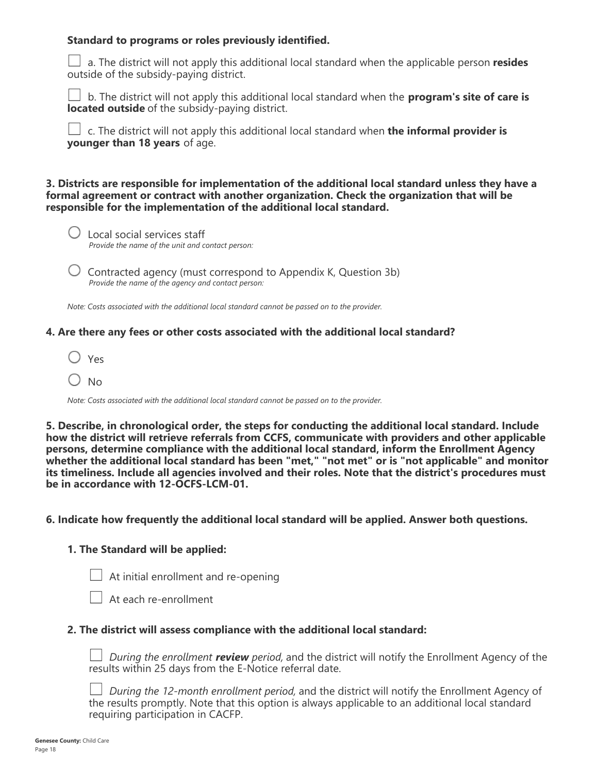#### **Standard to programs or roles previously identified.**

 a. The district will not apply this additional local standard when the applicable person **resides** outside of the subsidy-paying district.

 b. The district will not apply this additional local standard when the **program's site of care is located outside** of the subsidy-paying district.

 c. The district will not apply this additional local standard when **the informal provider is younger than 18 years** of age.

#### **3. Districts are responsible for implementation of the additional local standard unless they have a formal agreement or contract with another organization. Check the organization that will be responsible for the implementation of the additional local standard.**

- $\bigcup$  Local social services staff *Provide the name of the unit and contact person:*
- $\bigcup$  Contracted agency (must correspond to Appendix K, Question 3b) *Provide the name of the agency and contact person:*

*Note: Costs associated with the additional local standard cannot be passed on to the provider.*

### **4. Are there any fees or other costs associated with the additional local standard?**

- $\bigcirc$  Yes
- $\bigcirc$  No

*Note: Costs associated with the additional local standard cannot be passed on to the provider.*

**5. Describe, in chronological order, the steps for conducting the additional local standard. Include how the district will retrieve referrals from CCFS, communicate with providers and other applicable persons, determine compliance with the additional local standard, inform the Enrollment Agency whether the additional local standard has been "met," "not met" or is "not applicable" and monitor its timeliness. Include all agencies involved and their roles. Note that the district's procedures must be in accordance with 12-OCFS-LCM-01.**

#### **6. Indicate how frequently the additional local standard will be applied. Answer both questions.**

## **1. The Standard will be applied:**

 $\Box$  At initial enrollment and re-opening

 $\Box$  At each re-enrollment

#### **2. The district will assess compliance with the additional local standard:**

*During the enrollment review period,* and the district will notify the Enrollment Agency of the results within 25 days from the E-Notice referral date.

*During the 12-month enrollment period,* and the district will notify the Enrollment Agency of the results promptly. Note that this option is always applicable to an additional local standard requiring participation in CACFP.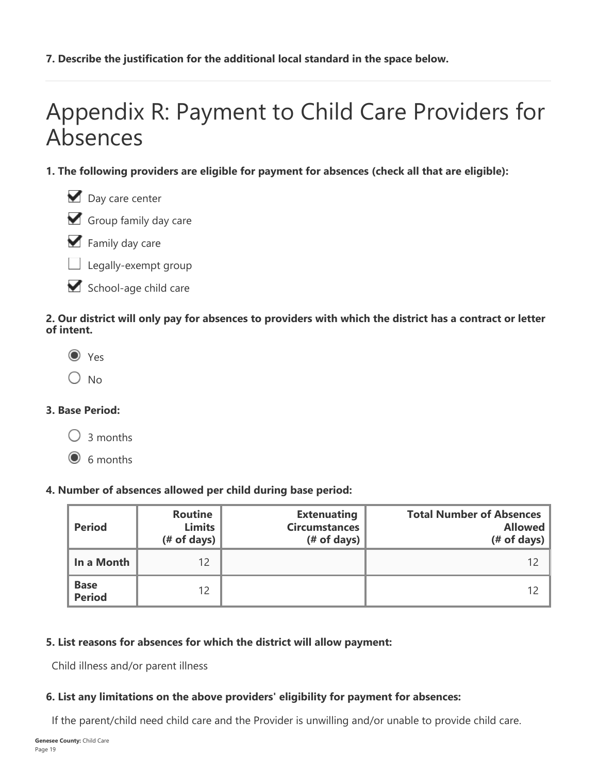## **7. Describe the justification for the additional local standard in the space below.**

# Appendix R: Payment to Child Care Providers for Absences

- **1. The following providers are eligible for payment for absences (check all that are eligible):**
	- Day care center





- $\Box$  Legally-exempt group
- School-age child care

## **2. Our district will only pay for absences to providers with which the district has a contract or letter of intent.**

- $\odot$  Yes
- $\bigcirc$  No

## **3. Base Period:**

 $\bigcirc$  3 months

 $\odot$  6 months

## **4. Number of absences allowed per child during base period:**

| <b>Period</b>                | <b>Routine</b><br><b>Limits</b><br>$#$ of days) | <b>Extenuating</b><br><b>Circumstances</b><br>$#$ of days) | <b>Total Number of Absences</b><br><b>Allowed</b><br>$#$ of days) |
|------------------------------|-------------------------------------------------|------------------------------------------------------------|-------------------------------------------------------------------|
| In a Month                   | 12                                              |                                                            |                                                                   |
| <b>Base</b><br><b>Period</b> | 12                                              |                                                            |                                                                   |

## **5. List reasons for absences for which the district will allow payment:**

Child illness and/or parent illness

## **6. List any limitations on the above providers' eligibility for payment for absences:**

If the parent/child need child care and the Provider is unwilling and/or unable to provide child care.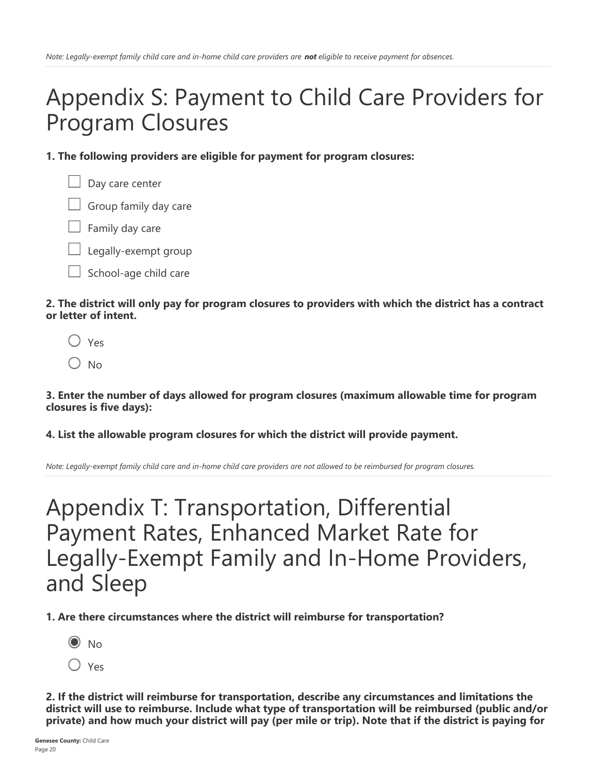## Appendix S: Payment to Child Care Providers for Program Closures

**1. The following providers are eligible for payment for program closures:**



 $\Box$  Family day care

 $\Box$  Legally-exempt group

School-age child care

**2. The district will only pay for program closures to providers with which the district has a contract or letter of intent.**

 $\bigcap$  Yes

 $O$  No

**3. Enter the number of days allowed for program closures (maximum allowable time for program closures is five days):**

## **4. List the allowable program closures for which the district will provide payment.**

*Note: Legally-exempt family child care and in-home child care providers are not allowed to be reimbursed for program closures.*

## Appendix T: Transportation, Differential Payment Rates, Enhanced Market Rate for Legally-Exempt Family and In-Home Providers, and Sleep

**1. Are there circumstances where the district will reimburse for transportation?**

- $\odot$  No
- $\bigcirc$  Yes

**2. If the district will reimburse for transportation, describe any circumstances and limitations the district will use to reimburse. Include what type of transportation will be reimbursed (public and/or private) and how much your district will pay (per mile or trip). Note that if the district is paying for**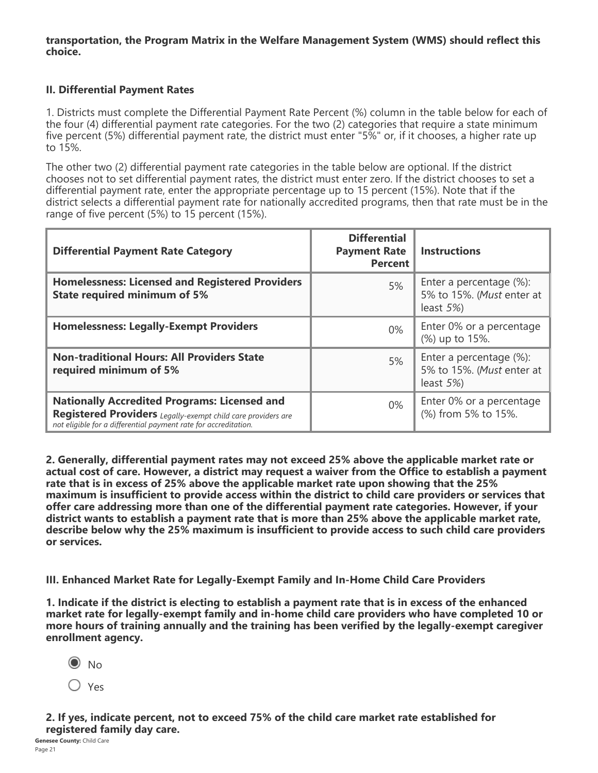#### **transportation, the Program Matrix in the Welfare Management System (WMS) should reflect this choice.**

### **II. Differential Payment Rates**

1. Districts must complete the Differential Payment Rate Percent (%) column in the table below for each of the four (4) differential payment rate categories. For the two (2) categories that require a state minimum five percent (5%) differential payment rate, the district must enter "5%" or, if it chooses, a higher rate up to 15%.

The other two (2) differential payment rate categories in the table below are optional. If the district chooses not to set differential payment rates, the district must enter zero. If the district chooses to set a differential payment rate, enter the appropriate percentage up to 15 percent (15%). Note that if the district selects a differential payment rate for nationally accredited programs, then that rate must be in the range of five percent (5%) to 15 percent (15%).

| <b>Differential Payment Rate Category</b>                                                                                                                                              | <b>Differential</b><br><b>Payment Rate</b><br><b>Percent</b> | <b>Instructions</b>                                                   |
|----------------------------------------------------------------------------------------------------------------------------------------------------------------------------------------|--------------------------------------------------------------|-----------------------------------------------------------------------|
| <b>Homelessness: Licensed and Registered Providers</b><br><b>State required minimum of 5%</b>                                                                                          | 5%                                                           | Enter a percentage (%):<br>5% to 15%. (Must enter at<br>least $5\%$ ) |
| <b>Homelessness: Legally-Exempt Providers</b>                                                                                                                                          | $0\%$                                                        | Enter 0% or a percentage<br>(%) up to 15%.                            |
| <b>Non-traditional Hours: All Providers State</b><br>required minimum of 5%                                                                                                            | 5%                                                           | Enter a percentage (%):<br>5% to 15%. (Must enter at<br>least $5\%$ ) |
| <b>Nationally Accredited Programs: Licensed and</b><br>Registered Providers Legally-exempt child care providers are<br>not eligible for a differential payment rate for accreditation. | $0\%$                                                        | Enter 0% or a percentage<br>(%) from 5% to 15%.                       |

**2. Generally, differential payment rates may not exceed 25% above the applicable market rate or actual cost of care. However, a district may request a waiver from the Office to establish a payment rate that is in excess of 25% above the applicable market rate upon showing that the 25% maximum is insufficient to provide access within the district to child care providers or services that offer care addressing more than one of the differential payment rate categories. However, if your district wants to establish a payment rate that is more than 25% above the applicable market rate, describe below why the 25% maximum is insufficient to provide access to such child care providers or services.**

**III. Enhanced Market Rate for Legally-Exempt Family and In-Home Child Care Providers**

**1. Indicate if the district is electing to establish a payment rate that is in excess of the enhanced market rate for legally-exempt family and in-home child care providers who have completed 10 or more hours of training annually and the training has been verified by the legally-exempt caregiver enrollment agency.**

**2. If yes, indicate percent, not to exceed 75% of the child care market rate established for registered family day care.**

 $\odot$  No O Yes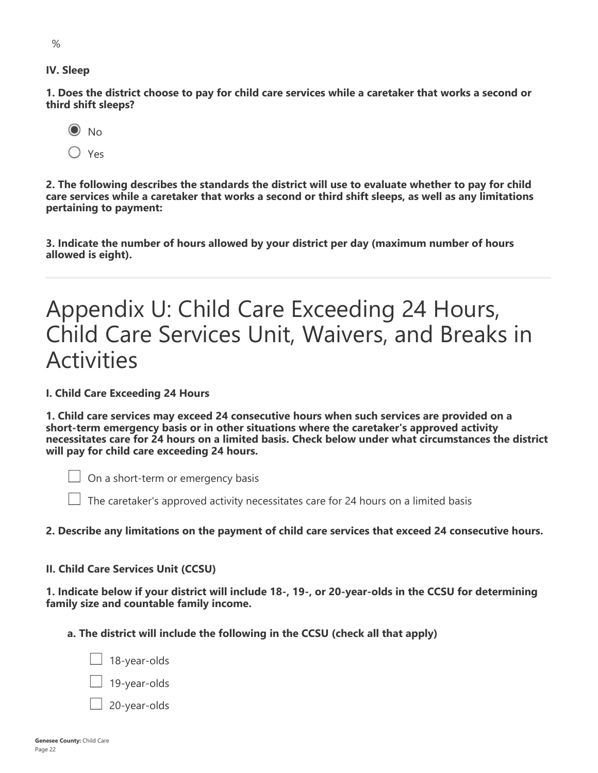$\frac{1}{2}$ 

**1. Does the district choose to pay for child care services while a caretaker that works a second or third shift sleeps?**



**2. The following describes the standards the district will use to evaluate whether to pay for child care services while a caretaker that works a second or third shift sleeps, as well as any limitations pertaining to payment:**

**3. Indicate the number of hours allowed by your district per day (maximum number of hours allowed is eight).**

## Appendix U: Child Care Exceeding 24 Hours, Child Care Services Unit, Waivers, and Breaks in Activities

**I. Child Care Exceeding 24 Hours**

**1. Child care services may exceed 24 consecutive hours when such services are provided on a short-term emergency basis or in other situations where the caretaker's approved activity necessitates care for 24 hours on a limited basis. Check below under what circumstances the district will pay for child care exceeding 24 hours.**

 $\Box$  On a short-term or emergency basis

 $\Box$  The caretaker's approved activity necessitates care for 24 hours on a limited basis

#### **2. Describe any limitations on the payment of child care services that exceed 24 consecutive hours.**

#### **II. Child Care Services Unit (CCSU)**

**1. Indicate below if your district will include 18-, 19-, or 20-year-olds in the CCSU for determining family size and countable family income.**

**a. The district will include the following in the CCSU (check all that apply)**

 $\Box$  18-year-olds 19-year-olds 20-year-olds